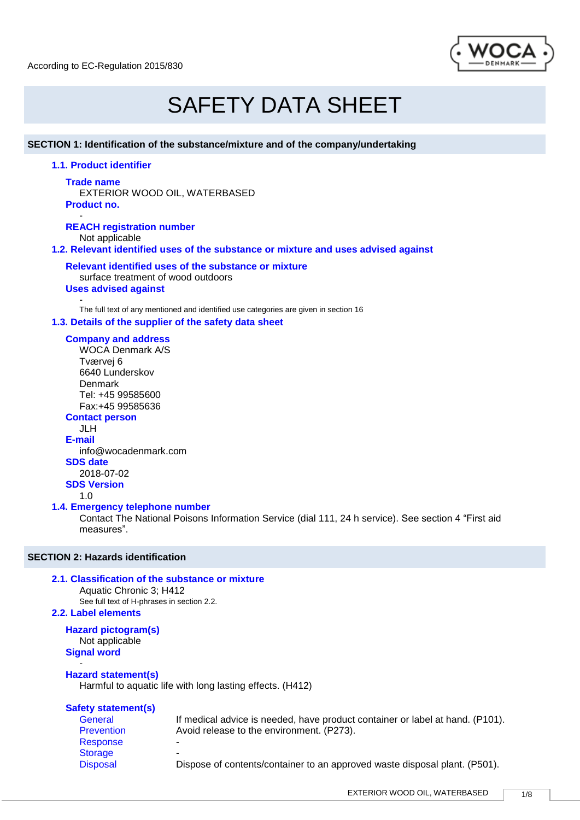

# SAFETY DATA SHEET

## **SECTION 1: Identification of the substance/mixture and of the company/undertaking**

**1.1. Product identifier**

#### **Trade name**

EXTERIOR WOOD OIL, WATERBASED **Product no.**

- **REACH registration number** Not applicable **1.2. Relevant identified uses of the substance or mixture and uses advised against**

**Relevant identified uses of the substance or mixture** surface treatment of wood outdoors

## **Uses advised against**

- The full text of any mentioned and identified use categories are given in section 16 **1.3. Details of the supplier of the safety data sheet**

## **Company and address**

WOCA Denmark A/S Tværvej 6 6640 Lunderskov Denmark Tel: +45 99585600 Fax:+45 99585636 **Contact person**

JLH **E-mail**

info@wocadenmark.com **SDS date** 2018-07-02 **SDS Version** 1.0

## **1.4. Emergency telephone number**

Contact The National Poisons Information Service (dial 111, 24 h service). See section 4 "First aid measures".

## **SECTION 2: Hazards identification**

## **2.1. Classification of the substance or mixture**

Aquatic Chronic 3; H412 See full text of H-phrases in section 2.2.

## **2.2. Label elements**

**Hazard pictogram(s)** Not applicable **Signal word** -

## **Hazard statement(s)**

Harmful to aquatic life with long lasting effects. (H412)

## **Safety statement(s)**

Response **Storage** 

General If medical advice is needed, have product container or label at hand. (P101).<br>Prevention Avoid release to the environment. (P273). Avoid release to the environment. (P273).

Disposal Dispose of contents/container to an approved waste disposal plant. (P501).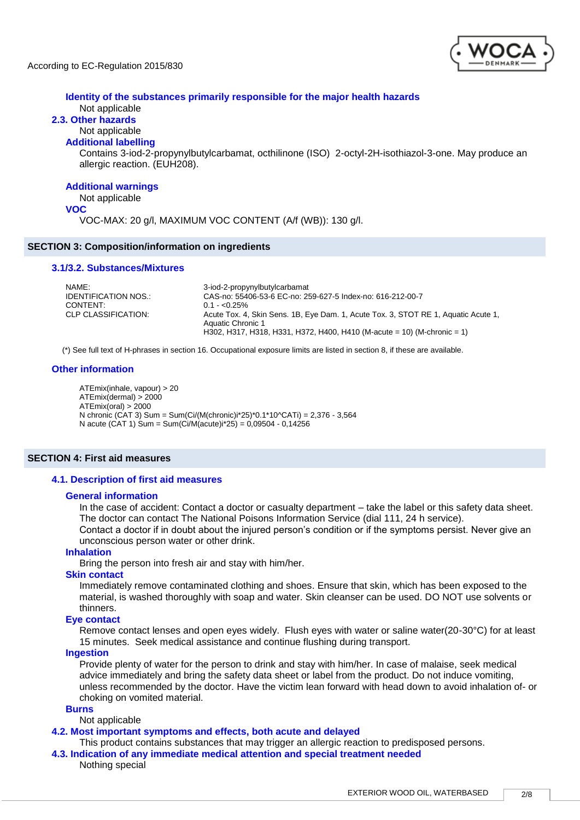

## **Identity of the substances primarily responsible for the major health hazards**

## Not applicable

## **2.3. Other hazards**

#### Not applicable **Additional labelling**

Contains 3-iod-2-propynylbutylcarbamat, octhilinone (ISO) 2-octyl-2H-isothiazol-3-one. May produce an allergic reaction. (EUH208).

## **Additional warnings**

#### Not applicable

#### **VOC**

VOC-MAX: 20 g/l, MAXIMUM VOC CONTENT (A/f (WB)): 130 g/l.

## **SECTION 3: Composition/information on ingredients**

## **3.1/3.2. Substances/Mixtures**

| NAMF:                | 3-iod-2-propynylbutylcarbamat                                                                           |
|----------------------|---------------------------------------------------------------------------------------------------------|
| IDENTIFICATION NOS.: | CAS-no: 55406-53-6 EC-no: 259-627-5 Index-no: 616-212-00-7                                              |
| CONTENT:             | $0.1 - 0.25\%$                                                                                          |
| CLP CLASSIFICATION:  | Acute Tox. 4, Skin Sens. 1B, Eye Dam. 1, Acute Tox. 3, STOT RE 1, Aquatic Acute 1,<br>Aquatic Chronic 1 |
|                      | H302, H317, H318, H331, H372, H400, H410 (M-acute = 10) (M-chronic = 1)                                 |

(\*) See full text of H-phrases in section 16. Occupational exposure limits are listed in section 8, if these are available.

## **Other information**

ATEmix(inhale, vapour) > 20 ATEmix(dermal) > 2000 ATEmix(oral) > 2000 N chronic (CAT 3) Sum = Sum(Ci/(M(chronic)i\*25)\*0.1\*10^CATi) = 2,376 - 3,564 N acute (CAT 1) Sum = Sum(Ci/M(acute)i\*25) = 0,09504 - 0,14256

## **SECTION 4: First aid measures**

## **4.1. Description of first aid measures**

## **General information**

In the case of accident: Contact a doctor or casualty department – take the label or this safety data sheet. The doctor can contact The National Poisons Information Service (dial 111, 24 h service).

Contact a doctor if in doubt about the injured person's condition or if the symptoms persist. Never give an unconscious person water or other drink.

## **Inhalation**

Bring the person into fresh air and stay with him/her.

## **Skin contact**

Immediately remove contaminated clothing and shoes. Ensure that skin, which has been exposed to the material, is washed thoroughly with soap and water. Skin cleanser can be used. DO NOT use solvents or thinners.

## **Eye contact**

Remove contact lenses and open eyes widely. Flush eyes with water or saline water(20-30°C) for at least 15 minutes. Seek medical assistance and continue flushing during transport.

#### **Ingestion**

Provide plenty of water for the person to drink and stay with him/her. In case of malaise, seek medical advice immediately and bring the safety data sheet or label from the product. Do not induce vomiting, unless recommended by the doctor. Have the victim lean forward with head down to avoid inhalation of- or choking on vomited material.

## **Burns**

Not applicable

## **4.2. Most important symptoms and effects, both acute and delayed**

This product contains substances that may trigger an allergic reaction to predisposed persons.

**4.3. Indication of any immediate medical attention and special treatment needed** Nothing special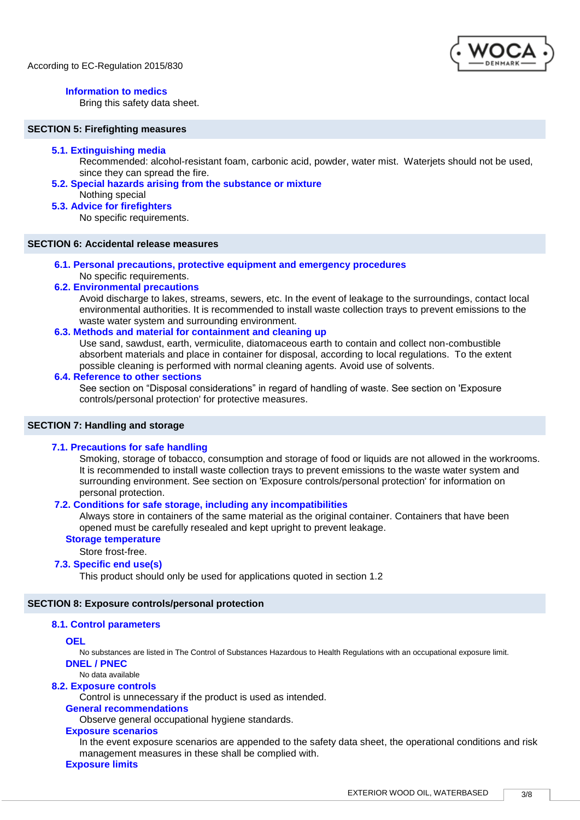

## **Information to medics**

Bring this safety data sheet.

## **SECTION 5: Firefighting measures**

## **5.1. Extinguishing media**

Recommended: alcohol-resistant foam, carbonic acid, powder, water mist. Waterjets should not be used, since they can spread the fire.

## **5.2. Special hazards arising from the substance or mixture**

Nothing special

## **5.3. Advice for firefighters**

No specific requirements.

## **SECTION 6: Accidental release measures**

## **6.1. Personal precautions, protective equipment and emergency procedures**

#### No specific requirements. **6.2. Environmental precautions**

Avoid discharge to lakes, streams, sewers, etc. In the event of leakage to the surroundings, contact local environmental authorities. It is recommended to install waste collection trays to prevent emissions to the waste water system and surrounding environment.

## **6.3. Methods and material for containment and cleaning up**

Use sand, sawdust, earth, vermiculite, diatomaceous earth to contain and collect non-combustible absorbent materials and place in container for disposal, according to local regulations. To the extent possible cleaning is performed with normal cleaning agents. Avoid use of solvents.

## **6.4. Reference to other sections**

See section on "Disposal considerations" in regard of handling of waste. See section on 'Exposure controls/personal protection' for protective measures.

## **SECTION 7: Handling and storage**

## **7.1. Precautions for safe handling**

Smoking, storage of tobacco, consumption and storage of food or liquids are not allowed in the workrooms. It is recommended to install waste collection trays to prevent emissions to the waste water system and surrounding environment. See section on 'Exposure controls/personal protection' for information on personal protection.

## **7.2. Conditions for safe storage, including any incompatibilities**

Always store in containers of the same material as the original container. Containers that have been opened must be carefully resealed and kept upright to prevent leakage.

## **Storage temperature**

Store frost-free.

## **7.3. Specific end use(s)**

This product should only be used for applications quoted in section 1.2

## **SECTION 8: Exposure controls/personal protection**

## **8.1. Control parameters**

**OEL**

No substances are listed in The Control of Substances Hazardous to Health Regulations with an occupational exposure limit.

**DNEL / PNEC** No data available

## **8.2. Exposure controls**

Control is unnecessary if the product is used as intended.

## **General recommendations**

Observe general occupational hygiene standards.

## **Exposure scenarios**

In the event exposure scenarios are appended to the safety data sheet, the operational conditions and risk management measures in these shall be complied with.

## **Exposure limits**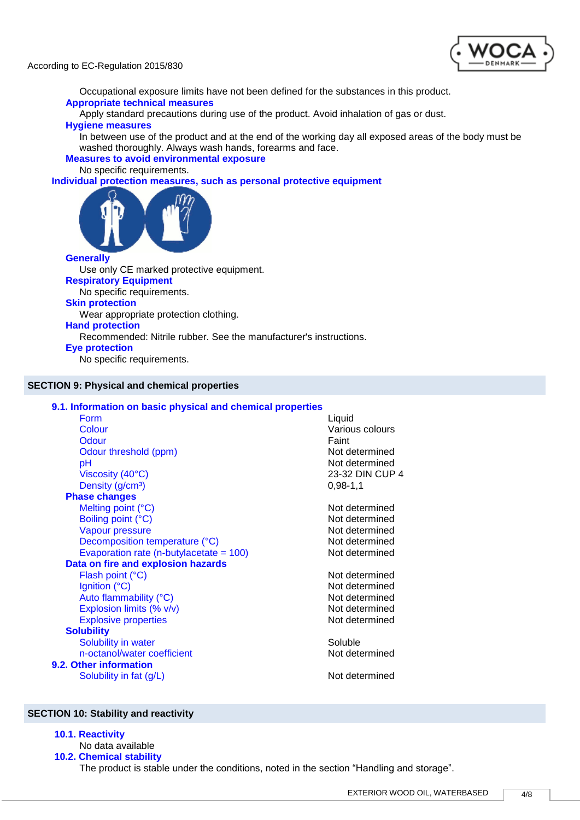



Occupational exposure limits have not been defined for the substances in this product. **Appropriate technical measures**

Apply standard precautions during use of the product. Avoid inhalation of gas or dust. **Hygiene measures**

In between use of the product and at the end of the working day all exposed areas of the body must be washed thoroughly. Always wash hands, forearms and face.

## **Measures to avoid environmental exposure**

No specific requirements.

**Individual protection measures, such as personal protective equipment**



## **Generally**

Use only CE marked protective equipment. **Respiratory Equipment** No specific requirements. **Skin protection**

Wear appropriate protection clothing.

## **Hand protection**

Recommended: Nitrile rubber. See the manufacturer's instructions.

## **Eye protection**

No specific requirements.

## **SECTION 9: Physical and chemical properties**

## **9.1. Information on basic physical and chemical properties** Form Liquid Colour Various colours Odour **Contact Contact Contact Contact Contact Contact Contact Contact Contact Contact Contact Contact Contact Contact Contact Contact Contact Contact Contact Contact Contact Contact Contact Contact Contact Contact Contact** Odour threshold (ppm) Not determined pH Not determined Viscosity (40°C) 23-32 DIN CUP 4 Density  $(g/cm<sup>3</sup>)$  0,98-1,1 **Phase changes** Melting point (°C) Not determined Boiling point (°C) Not determined Vapour pressure Not determined Decomposition temperature (°C) Not determined Evaporation rate  $(n$ -butylacetate =  $100$ ) Not determined **Data on fire and explosion hazards** Flash point (°C) Not determined Ignition (°C) Not determined Auto flammability (°C) Not determined Explosion limits (% v/v) Not determined Explosive properties and the set of the Not determined Not determined **Solubility** Solubility in water Soluble Soluble n-octanol/water coefficient Not determined **9.2. Other information** Solubility in fat (g/L) Solubility in fat (g/L) Not determined

#### **SECTION 10: Stability and reactivity**

#### **10.1. Reactivity**

No data available

## **10.2. Chemical stability**

The product is stable under the conditions, noted in the section "Handling and storage".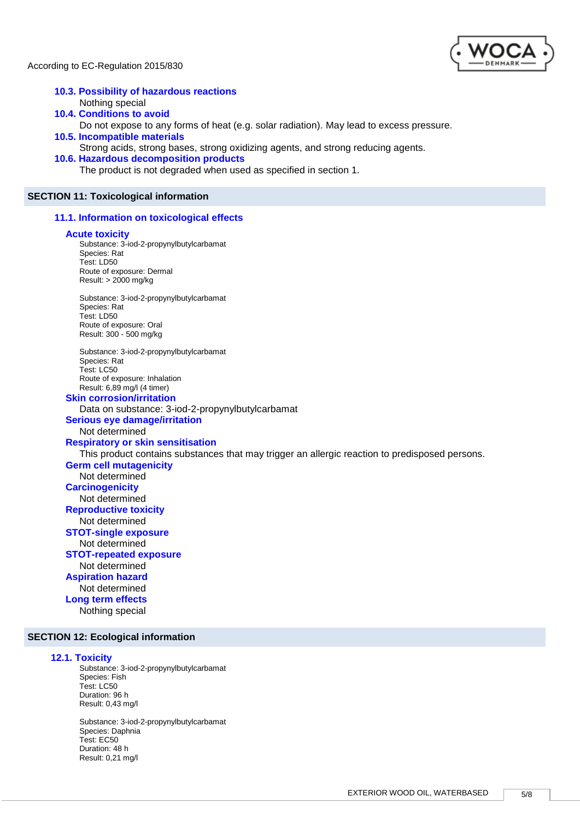

#### **10.3. Possibility of hazardous reactions** Nothing special **10.4. Conditions to avoid**

Do not expose to any forms of heat (e.g. solar radiation). May lead to excess pressure.

**10.5. Incompatible materials**

Strong acids, strong bases, strong oxidizing agents, and strong reducing agents.

## **10.6. Hazardous decomposition products**

The product is not degraded when used as specified in section 1.

## **SECTION 11: Toxicological information**

**11.1. Information on toxicological effects**

#### **Acute toxicity**

Substance: 3-iod-2-propynylbutylcarbamat Species: Rat Test: LD50 Route of exposure: Dermal Result: > 2000 mg/kg

Substance: 3-iod-2-propynylbutylcarbamat Species: Rat Test: LD50 Route of exposure: Oral Result: 300 - 500 mg/kg

Substance: 3-iod-2-propynylbutylcarbamat Species: Rat Test: LC50 Route of exposure: Inhalation Result: 6,89 mg/l (4 timer)

## **Skin corrosion/irritation**

Data on substance: 3-iod-2-propynylbutylcarbamat

## **Serious eye damage/irritation**

Not determined

**Respiratory or skin sensitisation**

This product contains substances that may trigger an allergic reaction to predisposed persons.

#### **Germ cell mutagenicity**

Not determined **Carcinogenicity**

Not determined **Reproductive toxicity**

Not determined

## **STOT-single exposure**

Not determined **STOT-repeated exposure** Not determined **Aspiration hazard** Not determined

**Long term effects** Nothing special

#### **SECTION 12: Ecological information**

#### **12.1. Toxicity**

Substance: 3-iod-2-propynylbutylcarbamat Species: Fish Test: LC50 Duration: 96 h Result: 0,43 mg/l

Substance: 3-iod-2-propynylbutylcarbamat Species: Daphnia Test: EC50 Duration: 48 h Result: 0,21 mg/l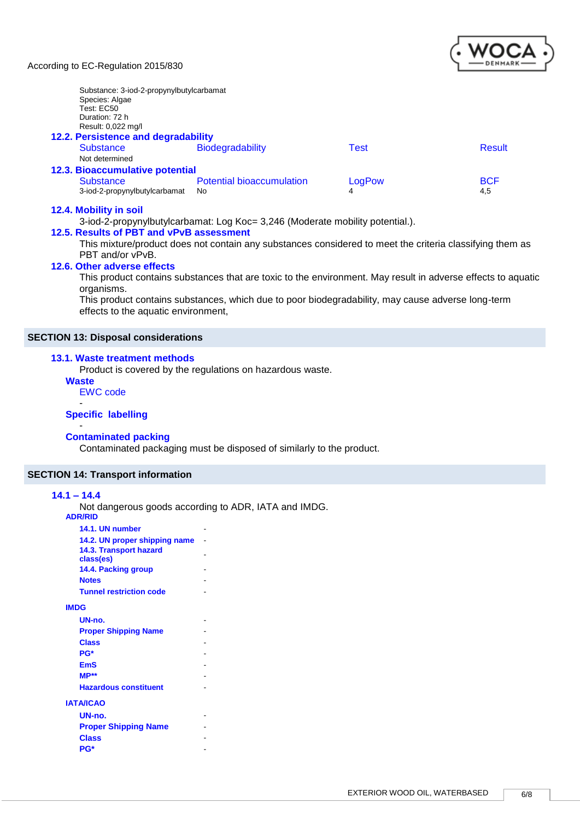

| Substance: 3-iod-2-propynylbutylcarbamat<br>Species: Algae<br>Test: EC50 |                                  |        |               |
|--------------------------------------------------------------------------|----------------------------------|--------|---------------|
| Duration: 72 h                                                           |                                  |        |               |
| Result: 0,022 mg/l                                                       |                                  |        |               |
| 12.2. Persistence and degradability                                      |                                  |        |               |
| <b>Substance</b>                                                         | <b>Biodegradability</b>          | Test   | <b>Result</b> |
| Not determined                                                           |                                  |        |               |
| 12.3. Bioaccumulative potential                                          |                                  |        |               |
| <b>Substance</b>                                                         | <b>Potential bioaccumulation</b> | LogPow | <b>BCF</b>    |
| 3-iod-2-propynylbutylcarbamat                                            | No                               | 4      | 4,5           |

## **12.4. Mobility in soil**

3-iod-2-propynylbutylcarbamat: Log Koc= 3,246 (Moderate mobility potential.).

## **12.5. Results of PBT and vPvB assessment**

This mixture/product does not contain any substances considered to meet the criteria classifying them as PBT and/or vPvB.

## **12.6. Other adverse effects**

This product contains substances that are toxic to the environment. May result in adverse effects to aquatic organisms.

This product contains substances, which due to poor biodegradability, may cause adverse long-term effects to the aquatic environment,

## **SECTION 13: Disposal considerations**

## **13.1. Waste treatment methods**

Product is covered by the regulations on hazardous waste.

## **Waste**

-

EWC code -

## **Specific labelling**

#### **Contaminated packing**

Contaminated packaging must be disposed of similarly to the product.

## **SECTION 14: Transport information**

## **14.1 – 14.4**

Not dangerous goods according to ADR, IATA and IMDG.

**ADR/RID**

| 14.1. UN number                            |  |
|--------------------------------------------|--|
| 14.2. UN proper shipping name              |  |
| <b>14.3. Transport hazard</b><br>class(es) |  |
| 14.4. Packing group                        |  |
| <b>Notes</b>                               |  |
| <b>Tunnel restriction code</b>             |  |
| <b>IMDG</b>                                |  |
| $UN-no.$                                   |  |
| <b>Proper Shipping Name</b>                |  |
| <b>Class</b>                               |  |
| PG*                                        |  |
| <b>EmS</b>                                 |  |
| $MP**$                                     |  |
| <b>Hazardous constituent</b>               |  |
| <b>IATA/ICAO</b>                           |  |
| UN-no.                                     |  |
| <b>Proper Shipping Name</b>                |  |
| <b>Class</b>                               |  |
| <b>PG*</b>                                 |  |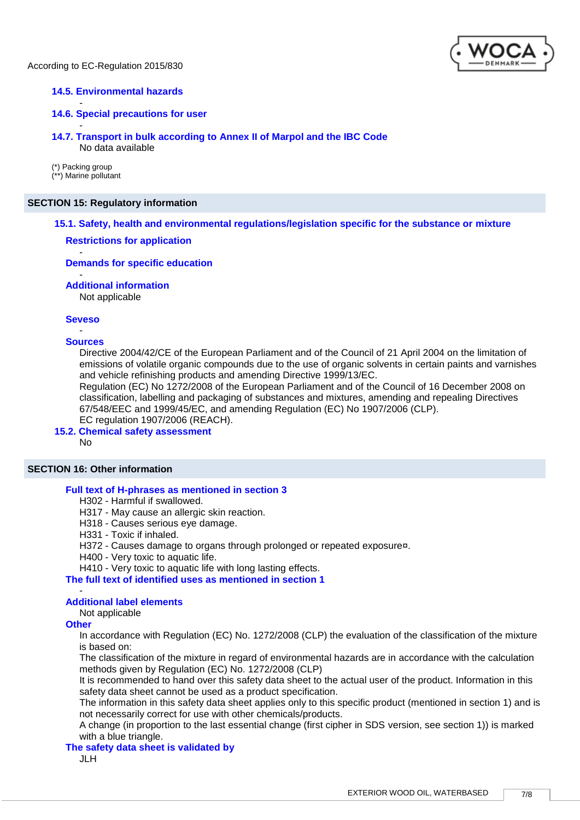

## **14.5. Environmental hazards**

## **14.6. Special precautions for user**

- **14.7. Transport in bulk according to Annex II of Marpol and the IBC Code** No data available

(\*) Packing group (\*\*) Marine pollutant

-

## **SECTION 15: Regulatory information**

## **15.1. Safety, health and environmental regulations/legislation specific for the substance or mixture**

## **Restrictions for application**

#### **Demands for specific education**

#### **Additional information**

Not applicable

## **Seveso** -

-

-

#### **Sources**

Directive 2004/42/CE of the European Parliament and of the Council of 21 April 2004 on the limitation of emissions of volatile organic compounds due to the use of organic solvents in certain paints and varnishes and vehicle refinishing products and amending Directive 1999/13/EC.

Regulation (EC) No 1272/2008 of the European Parliament and of the Council of 16 December 2008 on classification, labelling and packaging of substances and mixtures, amending and repealing Directives 67/548/EEC and 1999/45/EC, and amending Regulation (EC) No 1907/2006 (CLP). EC regulation 1907/2006 (REACH).

**15.2. Chemical safety assessment**

No

## **SECTION 16: Other information**

#### **Full text of H-phrases as mentioned in section 3**

H302 - Harmful if swallowed.

- H317 May cause an allergic skin reaction.
- H318 Causes serious eye damage.
- H331 Toxic if inhaled.
- H372 Causes damage to organs through prolonged or repeated exposure¤.
- H400 Very toxic to aquatic life.

H410 - Very toxic to aquatic life with long lasting effects.

**The full text of identified uses as mentioned in section 1**

#### **Additional label elements**

Not applicable

## **Other**

-

In accordance with Regulation (EC) No. 1272/2008 (CLP) the evaluation of the classification of the mixture is based on:

The classification of the mixture in regard of environmental hazards are in accordance with the calculation methods given by Regulation (EC) No. 1272/2008 (CLP)

It is recommended to hand over this safety data sheet to the actual user of the product. Information in this safety data sheet cannot be used as a product specification.

The information in this safety data sheet applies only to this specific product (mentioned in section 1) and is not necessarily correct for use with other chemicals/products.

A change (in proportion to the last essential change (first cipher in SDS version, see section 1)) is marked with a blue triangle.

## **The safety data sheet is validated by**

JLH